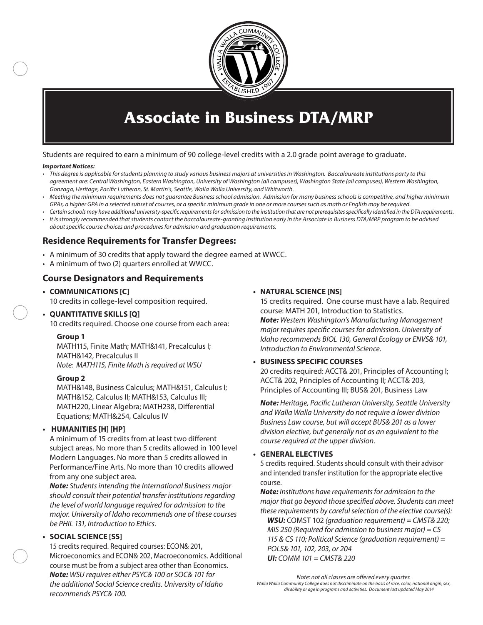

## **Associate in Business DTA/MRP**

Students are required to earn a minimum of 90 college-level credits with a 2.0 grade point average to graduate.

#### *Important Notices:*

- *• This degree is applicable for students planning to study various business majors at universities in Washington. Baccalaureate institutions party to this agreement are: Central Washington, Eastern Washington, University of Washington (all campuses), Washington State (all campuses), Western Washington, Gonzaga, Heritage, Pacific Lutheran, St. Martin's, Seattle, Walla Walla University, and Whitworth.*
- *• Meeting the minimum requirements does not guarantee Business school admission. Admission for many business schools is competitive, and higher minimum GPAs, a higher GPA in a selected subset of courses, or a specific minimum grade in one or more courses such as math or English may be required.*
- *• Certain schools may have additional university-specific requirements for admission to the institution that are not prerequisites specifically identified in the DTA requirements.*
- *• It is strongly recommended that students contact the baccalaureate-granting institution early in the Associate in Business DTA/MRP program to be advised about specific course choices and procedures for admission and graduation requirements.*

## **Residence Requirements for Transfer Degrees:**

- A minimum of 30 credits that apply toward the degree earned at WWCC.
- A minimum of two (2) quarters enrolled at WWCC.

### **Course Designators and Requirements**

**• COMMUNICATIONS [C]** 10 credits in college-level composition required.

### **• QUANTITATIVE SKILLS [Q]**

10 credits required. Choose one course from each area:

#### **Group 1**

MATH115, Finite Math; MATH&141, Precalculus I; MATH&142, Precalculus II *Note: MATH115, Finite Math is required at WSU*

#### **Group 2**

MATH&148, Business Calculus; MATH&151, Calculus I; MATH&152, Calculus II; MATH&153, Calculus III; MATH220, Linear Algebra; MATH238, Differential Equations; MATH&254, Calculus IV

#### **• HUMANITIES [H] [HP]**

A minimum of 15 credits from at least two different subject areas. No more than 5 credits allowed in 100 level Modern Languages. No more than 5 credits allowed in Performance/Fine Arts. No more than 10 credits allowed from any one subject area.

*Note: Students intending the International Business major should consult their potential transfer institutions regarding the level of world language required for admission to the major. University of Idaho recommends one of these courses be PHIL 131, Introduction to Ethics.*

#### **• SOCIAL SCIENCE [SS]**

15 credits required. Required courses: ECON& 201, Microeconomics and ECON& 202, Macroeconomics. Additional course must be from a subject area other than Economics. *Note: WSU requires either PSYC& 100 or SOC& 101 for the additional Social Science credits. University of Idaho recommends PSYC& 100.*

#### **• NATURAL SCIENCE [NS]**

15 credits required. One course must have a lab. Required course: MATH 201, Introduction to Statistics. *Note: Western Washington's Manufacturing Management major requires specific courses for admission. University of Idaho recommends BIOL 130, General Ecology or ENVS& 101, Introduction to Environmental Science.*

#### **• BUSINESS SPECIFIC COURSES**

20 credits required: ACCT& 201, Principles of Accounting I; ACCT& 202, Principles of Accounting II; ACCT& 203, Principles of Accounting III; BUS& 201, Business Law

*Note: Heritage, Pacific Lutheran University, Seattle University and Walla Walla University do not require a lower division Business Law course, but will accept BUS& 201 as a lower division elective, but generally not as an equivalent to the course required at the upper division.* 

#### **• GENERAL ELECTIVES**

5 credits required. Students should consult with their advisor and intended transfer institution for the appropriate elective course.

*Note: Institutions have requirements for admission to the major that go beyond those specified above. Students can meet these requirements by careful selection of the elective course(s):*

*WSU:* COMST 102 *(graduation requirement) = CMST& 220; MIS 250 (Required for admission to business major) = CS 115 & CS 110; Political Science (graduation requirement) = POLS& 101, 102, 203, or 204 UI: COMM 101 = CMST& 220*

*Note: not all classes are offered every quarter. Walla Walla Community College does not discriminate on the basis of race, color, national origin, sex,* 

*disability or age in programs and activities. Document last updated May 2014*